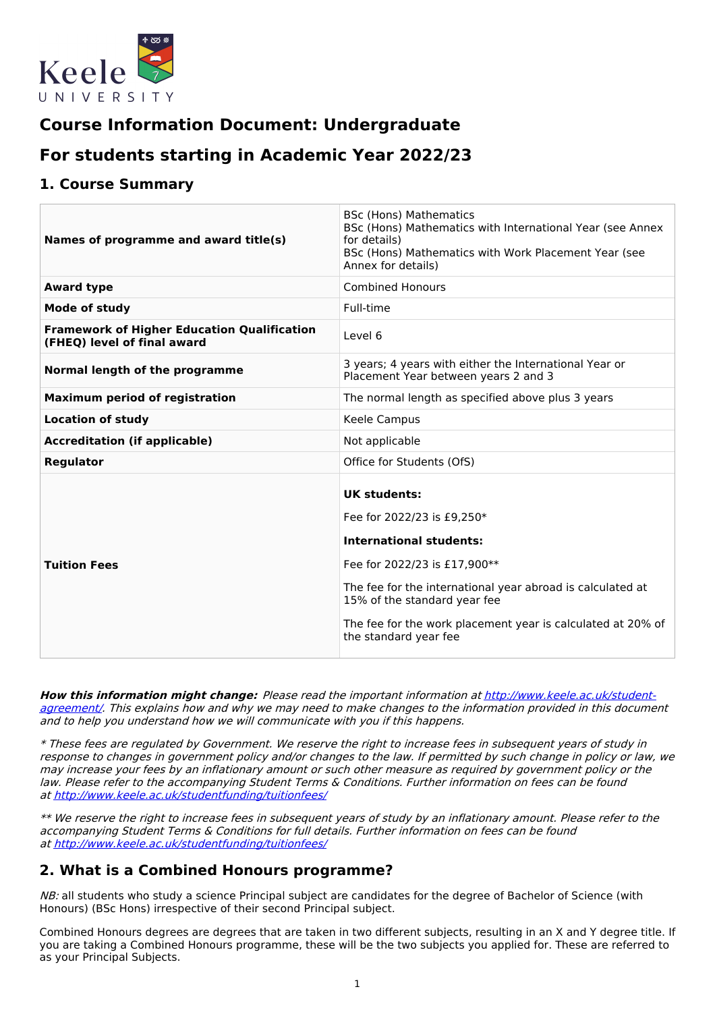

# **Course Information Document: Undergraduate**

# **For students starting in Academic Year 2022/23**

## **1. Course Summary**

| Names of programme and award title(s)                                             | <b>BSc (Hons) Mathematics</b><br>BSc (Hons) Mathematics with International Year (see Annex<br>for details)<br>BSc (Hons) Mathematics with Work Placement Year (see<br>Annex for details)                                                                                                                  |
|-----------------------------------------------------------------------------------|-----------------------------------------------------------------------------------------------------------------------------------------------------------------------------------------------------------------------------------------------------------------------------------------------------------|
| <b>Award type</b>                                                                 | <b>Combined Honours</b>                                                                                                                                                                                                                                                                                   |
| <b>Mode of study</b>                                                              | Full-time                                                                                                                                                                                                                                                                                                 |
| <b>Framework of Higher Education Qualification</b><br>(FHEQ) level of final award | Level 6                                                                                                                                                                                                                                                                                                   |
| Normal length of the programme                                                    | 3 years; 4 years with either the International Year or<br>Placement Year between years 2 and 3                                                                                                                                                                                                            |
| <b>Maximum period of registration</b>                                             | The normal length as specified above plus 3 years                                                                                                                                                                                                                                                         |
| <b>Location of study</b>                                                          | Keele Campus                                                                                                                                                                                                                                                                                              |
| <b>Accreditation (if applicable)</b>                                              | Not applicable                                                                                                                                                                                                                                                                                            |
| Regulator                                                                         | Office for Students (OfS)                                                                                                                                                                                                                                                                                 |
| <b>Tuition Fees</b>                                                               | <b>UK students:</b><br>Fee for 2022/23 is £9,250*<br><b>International students:</b><br>Fee for 2022/23 is £17,900**<br>The fee for the international year abroad is calculated at<br>15% of the standard year fee<br>The fee for the work placement year is calculated at 20% of<br>the standard year fee |

**How this information might change:** Please read the important information at [http://www.keele.ac.uk/student](http://www.keele.ac.uk/student-agreement/)agreement/. This explains how and why we may need to make changes to the information provided in this document and to help you understand how we will communicate with you if this happens.

\* These fees are regulated by Government. We reserve the right to increase fees in subsequent years of study in response to changes in government policy and/or changes to the law. If permitted by such change in policy or law, we may increase your fees by an inflationary amount or such other measure as required by government policy or the law. Please refer to the accompanying Student Terms & Conditions. Further information on fees can be found at <http://www.keele.ac.uk/studentfunding/tuitionfees/>

\*\* We reserve the right to increase fees in subsequent years of study by an inflationary amount. Please refer to the accompanying Student Terms & Conditions for full details. Further information on fees can be found at <http://www.keele.ac.uk/studentfunding/tuitionfees/>

# **2. What is a Combined Honours programme?**

NB: all students who study a science Principal subject are candidates for the degree of Bachelor of Science (with Honours) (BSc Hons) irrespective of their second Principal subject.

Combined Honours degrees are degrees that are taken in two different subjects, resulting in an X and Y degree title. If you are taking a Combined Honours programme, these will be the two subjects you applied for. These are referred to as your Principal Subjects.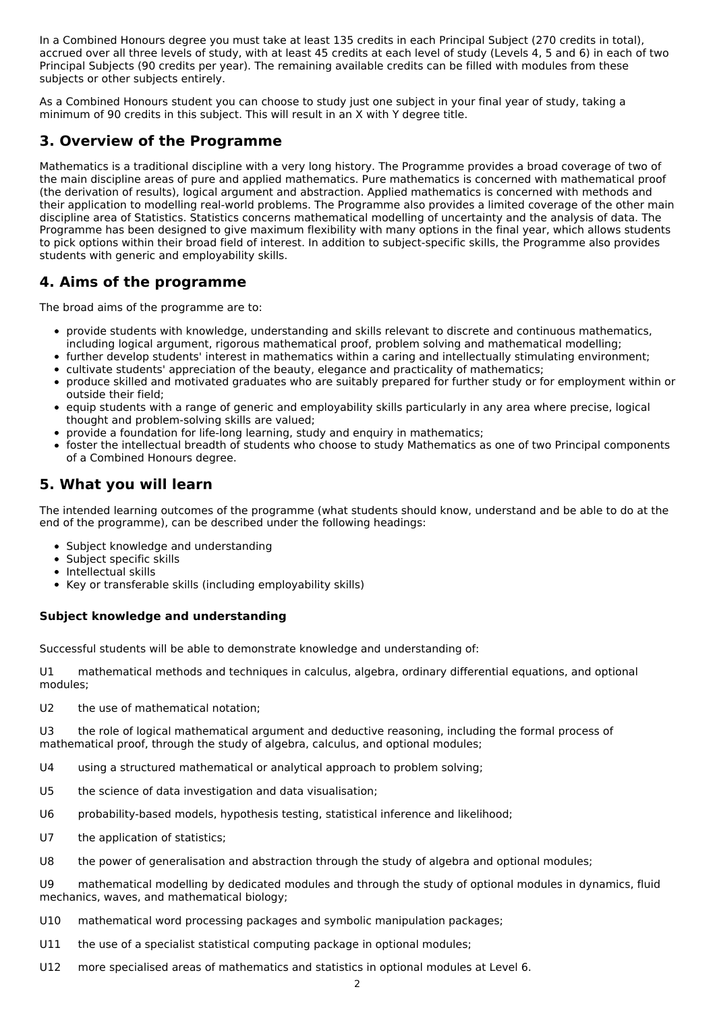In a Combined Honours degree you must take at least 135 credits in each Principal Subject (270 credits in total), accrued over all three levels of study, with at least 45 credits at each level of study (Levels 4, 5 and 6) in each of two Principal Subjects (90 credits per year). The remaining available credits can be filled with modules from these subjects or other subjects entirely.

As a Combined Honours student you can choose to study just one subject in your final year of study, taking a minimum of 90 credits in this subject. This will result in an X with Y degree title.

## **3. Overview of the Programme**

Mathematics is a traditional discipline with a very long history. The Programme provides a broad coverage of two of the main discipline areas of pure and applied mathematics. Pure mathematics is concerned with mathematical proof (the derivation of results), logical argument and abstraction. Applied mathematics is concerned with methods and their application to modelling real-world problems. The Programme also provides a limited coverage of the other main discipline area of Statistics. Statistics concerns mathematical modelling of uncertainty and the analysis of data. The Programme has been designed to give maximum flexibility with many options in the final year, which allows students to pick options within their broad field of interest. In addition to subject-specific skills, the Programme also provides students with generic and employability skills.

# **4. Aims of the programme**

The broad aims of the programme are to:

- provide students with knowledge, understanding and skills relevant to discrete and continuous mathematics, including logical argument, rigorous mathematical proof, problem solving and mathematical modelling;
- further develop students' interest in mathematics within a caring and intellectually stimulating environment;
- cultivate students' appreciation of the beauty, elegance and practicality of mathematics;
- produce skilled and motivated graduates who are suitably prepared for further study or for employment within or outside their field;
- equip students with a range of generic and employability skills particularly in any area where precise, logical thought and problem-solving skills are valued;
- provide a foundation for life-long learning, study and enquiry in mathematics;
- foster the intellectual breadth of students who choose to study Mathematics as one of two Principal components of a Combined Honours degree.

## **5. What you will learn**

The intended learning outcomes of the programme (what students should know, understand and be able to do at the end of the programme), can be described under the following headings:

- Subject knowledge and understanding
- Subject specific skills
- Intellectual skills
- Key or transferable skills (including employability skills)

## **Subject knowledge and understanding**

Successful students will be able to demonstrate knowledge and understanding of:

U1 mathematical methods and techniques in calculus, algebra, ordinary differential equations, and optional modules;

U2 the use of mathematical notation;

U3 the role of logical mathematical argument and deductive reasoning, including the formal process of mathematical proof, through the study of algebra, calculus, and optional modules;

- U4 using a structured mathematical or analytical approach to problem solving;
- U5 the science of data investigation and data visualisation;
- U6 probability-based models, hypothesis testing, statistical inference and likelihood;
- U7 the application of statistics;
- U8 the power of generalisation and abstraction through the study of algebra and optional modules;

U9 mathematical modelling by dedicated modules and through the study of optional modules in dynamics, fluid mechanics, waves, and mathematical biology;

- U10 mathematical word processing packages and symbolic manipulation packages;
- U11 the use of a specialist statistical computing package in optional modules;
- U12 more specialised areas of mathematics and statistics in optional modules at Level 6.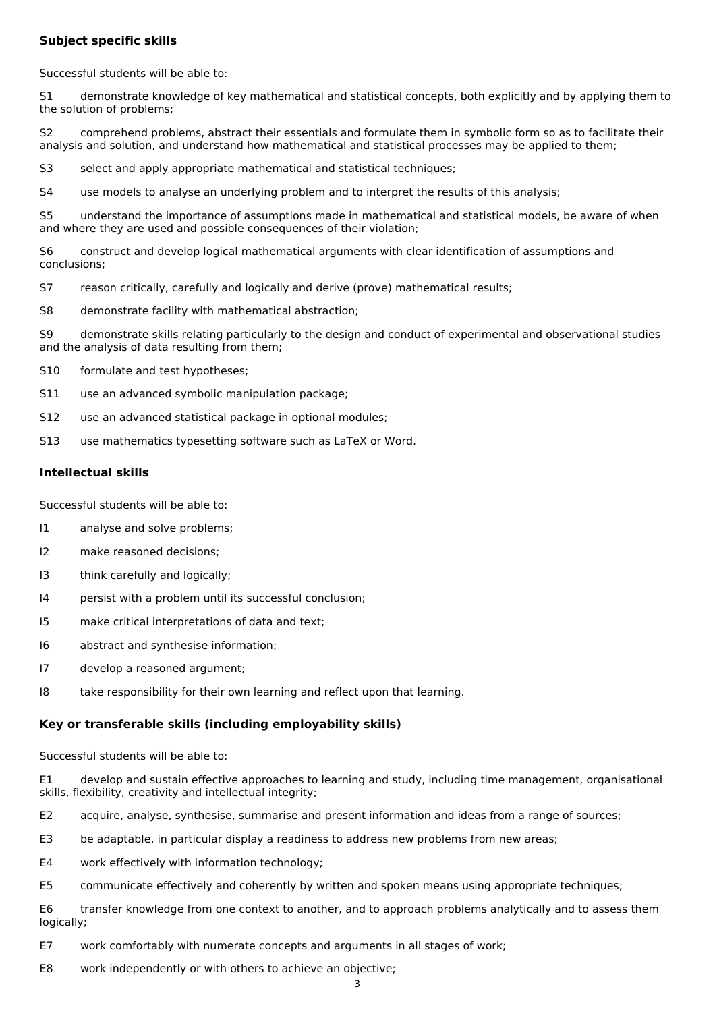#### **Subject specific skills**

Successful students will be able to:

S1 demonstrate knowledge of key mathematical and statistical concepts, both explicitly and by applying them to the solution of problems;

S2 comprehend problems, abstract their essentials and formulate them in symbolic form so as to facilitate their analysis and solution, and understand how mathematical and statistical processes may be applied to them;

S3 select and apply appropriate mathematical and statistical techniques;

S4 use models to analyse an underlying problem and to interpret the results of this analysis;

S5 understand the importance of assumptions made in mathematical and statistical models, be aware of when and where they are used and possible consequences of their violation;

S6 construct and develop logical mathematical arguments with clear identification of assumptions and conclusions;

- S7 reason critically, carefully and logically and derive (prove) mathematical results;
- S8 demonstrate facility with mathematical abstraction;

S9 demonstrate skills relating particularly to the design and conduct of experimental and observational studies and the analysis of data resulting from them;

- S10 formulate and test hypotheses;
- S11 use an advanced symbolic manipulation package;
- S12 use an advanced statistical package in optional modules;
- S13 use mathematics typesetting software such as LaTeX or Word.

#### **Intellectual skills**

Successful students will be able to:

- I1 analyse and solve problems;
- I2 make reasoned decisions;
- I3 think carefully and logically;
- I4 persist with a problem until its successful conclusion;
- I5 make critical interpretations of data and text;
- I6 abstract and synthesise information;
- I7 develop a reasoned argument;
- I8 take responsibility for their own learning and reflect upon that learning.

#### **Key or transferable skills (including employability skills)**

Successful students will be able to:

E1 develop and sustain effective approaches to learning and study, including time management, organisational skills, flexibility, creativity and intellectual integrity;

- E2 acquire, analyse, synthesise, summarise and present information and ideas from a range of sources;
- E3 be adaptable, in particular display a readiness to address new problems from new areas;
- E4 work effectively with information technology;
- E5 communicate effectively and coherently by written and spoken means using appropriate techniques;

E6 transfer knowledge from one context to another, and to approach problems analytically and to assess them logically;

- E7 work comfortably with numerate concepts and arguments in all stages of work;
- E8 work independently or with others to achieve an objective;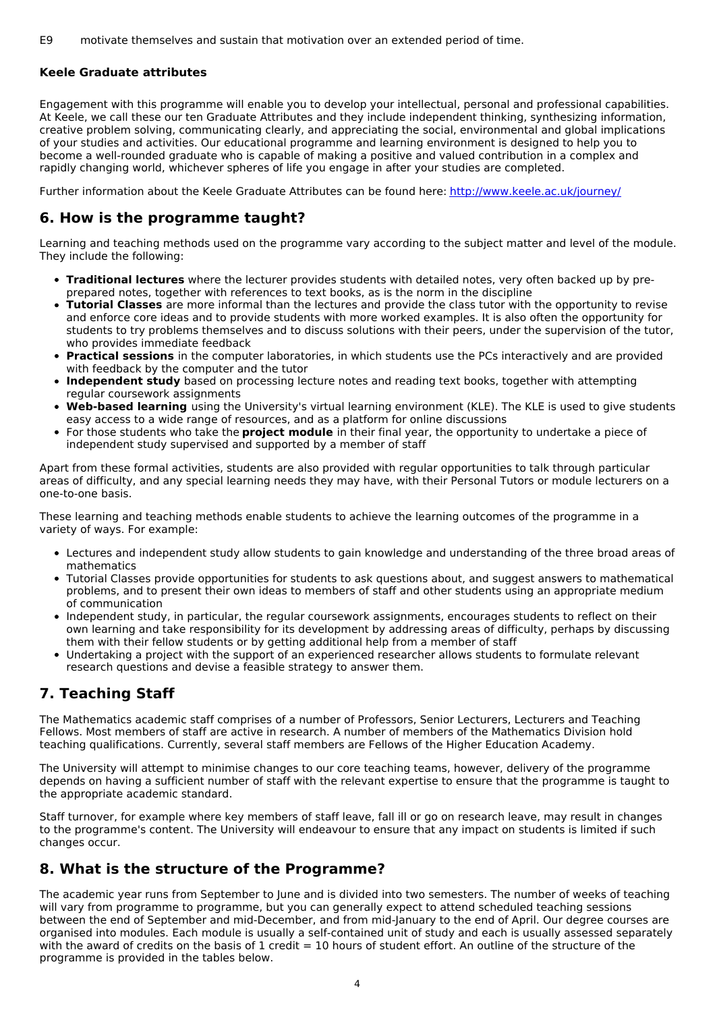#### **Keele Graduate attributes**

Engagement with this programme will enable you to develop your intellectual, personal and professional capabilities. At Keele, we call these our ten Graduate Attributes and they include independent thinking, synthesizing information, creative problem solving, communicating clearly, and appreciating the social, environmental and global implications of your studies and activities. Our educational programme and learning environment is designed to help you to become a well-rounded graduate who is capable of making a positive and valued contribution in a complex and rapidly changing world, whichever spheres of life you engage in after your studies are completed.

Further information about the Keele Graduate Attributes can be found here: <http://www.keele.ac.uk/journey/>

## **6. How is the programme taught?**

Learning and teaching methods used on the programme vary according to the subject matter and level of the module. They include the following:

- **Traditional lectures** where the lecturer provides students with detailed notes, very often backed up by preprepared notes, together with references to text books, as is the norm in the discipline
- **Tutorial Classes** are more informal than the lectures and provide the class tutor with the opportunity to revise and enforce core ideas and to provide students with more worked examples. It is also often the opportunity for students to try problems themselves and to discuss solutions with their peers, under the supervision of the tutor, who provides immediate feedback
- **Practical sessions** in the computer laboratories, in which students use the PCs interactively and are provided with feedback by the computer and the tutor
- **Independent study** based on processing lecture notes and reading text books, together with attempting regular coursework assignments
- **Web-based learning** using the University's virtual learning environment (KLE). The KLE is used to give students easy access to a wide range of resources, and as a platform for online discussions
- For those students who take the **project module** in their final year, the opportunity to undertake a piece of independent study supervised and supported by a member of staff

Apart from these formal activities, students are also provided with regular opportunities to talk through particular areas of difficulty, and any special learning needs they may have, with their Personal Tutors or module lecturers on a one-to-one basis.

These learning and teaching methods enable students to achieve the learning outcomes of the programme in a variety of ways. For example:

- Lectures and independent study allow students to gain knowledge and understanding of the three broad areas of mathematics
- Tutorial Classes provide opportunities for students to ask questions about, and suggest answers to mathematical problems, and to present their own ideas to members of staff and other students using an appropriate medium of communication
- Independent study, in particular, the regular coursework assignments, encourages students to reflect on their own learning and take responsibility for its development by addressing areas of difficulty, perhaps by discussing them with their fellow students or by getting additional help from a member of staff
- Undertaking a project with the support of an experienced researcher allows students to formulate relevant research questions and devise a feasible strategy to answer them.

# **7. Teaching Staff**

The Mathematics academic staff comprises of a number of Professors, Senior Lecturers, Lecturers and Teaching Fellows. Most members of staff are active in research. A number of members of the Mathematics Division hold teaching qualifications. Currently, several staff members are Fellows of the Higher Education Academy.

The University will attempt to minimise changes to our core teaching teams, however, delivery of the programme depends on having a sufficient number of staff with the relevant expertise to ensure that the programme is taught to the appropriate academic standard.

Staff turnover, for example where key members of staff leave, fall ill or go on research leave, may result in changes to the programme's content. The University will endeavour to ensure that any impact on students is limited if such changes occur.

## **8. What is the structure of the Programme?**

The academic year runs from September to June and is divided into two semesters. The number of weeks of teaching will vary from programme to programme, but you can generally expect to attend scheduled teaching sessions between the end of September and mid-December, and from mid-January to the end of April. Our degree courses are organised into modules. Each module is usually a self-contained unit of study and each is usually assessed separately with the award of credits on the basis of 1 credit = 10 hours of student effort. An outline of the structure of the programme is provided in the tables below.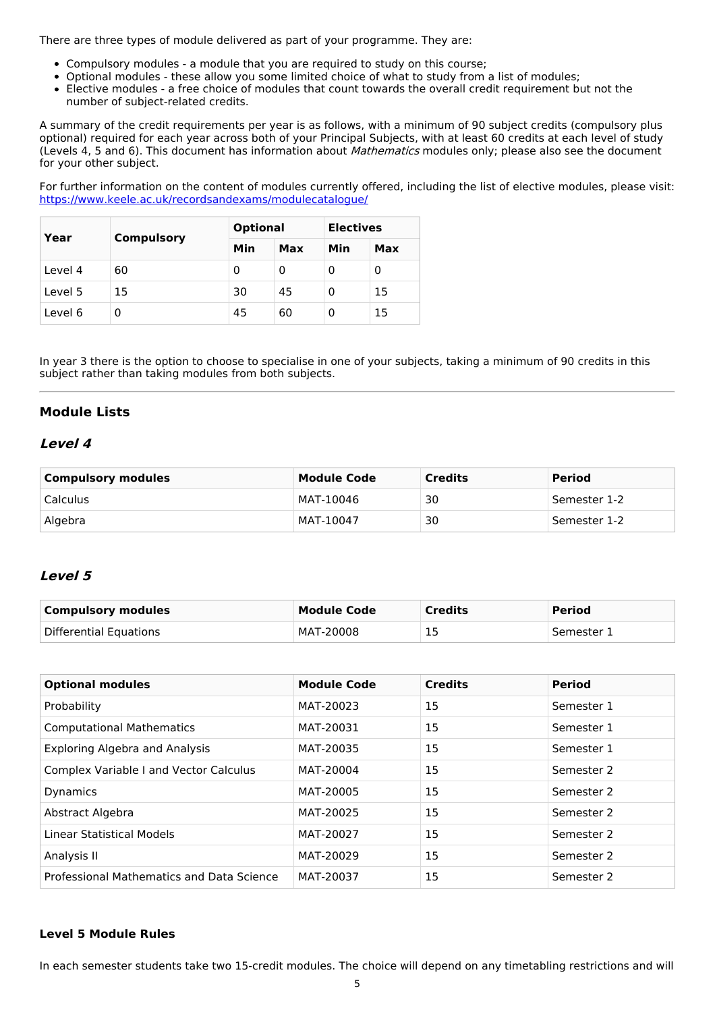There are three types of module delivered as part of your programme. They are:

- Compulsory modules a module that you are required to study on this course;
- Optional modules these allow you some limited choice of what to study from a list of modules;
- Elective modules a free choice of modules that count towards the overall credit requirement but not the number of subject-related credits.

A summary of the credit requirements per year is as follows, with a minimum of 90 subject credits (compulsory plus optional) required for each year across both of your Principal Subjects, with at least 60 credits at each level of study (Levels 4, 5 and 6). This document has information about *Mathematics* modules only; please also see the document for your other subject.

For further information on the content of modules currently offered, including the list of elective modules, please visit: <https://www.keele.ac.uk/recordsandexams/modulecatalogue/>

| Year    |                   | <b>Optional</b> |     | <b>Electives</b> |    |
|---------|-------------------|-----------------|-----|------------------|----|
|         | <b>Compulsory</b> | Min             | Max | Min<br>Max       |    |
| Level 4 | 60                | 0               | 0   |                  | 0  |
| Level 5 | 15                | 30              | 45  | 0                | 15 |
| Level 6 | 0                 | 45              | 60  |                  | 15 |

In year 3 there is the option to choose to specialise in one of your subjects, taking a minimum of 90 credits in this subject rather than taking modules from both subjects.

## **Module Lists**

## **Level 4**

| <b>Compulsory modules</b> | <b>Module Code</b> | <b>Credits</b> | Period       |
|---------------------------|--------------------|----------------|--------------|
| <b>Calculus</b>           | MAT-10046          | 30             | Semester 1-2 |
| Algebra                   | MAT-10047          | 30             | Semester 1-2 |

## **Level 5**

| Compulsory modules     | <b>Module Code</b> | <b>Credits</b> | <b>Period</b> |
|------------------------|--------------------|----------------|---------------|
| Differential Equations | MAT-20008          | ᆠ              | . Semester T  |

| <b>Optional modules</b>                       | <b>Module Code</b> | <b>Credits</b> | <b>Period</b>         |
|-----------------------------------------------|--------------------|----------------|-----------------------|
| Probability                                   | MAT-20023          | 15             | Semester 1            |
| <b>Computational Mathematics</b>              | MAT-20031          | 15             | Semester 1            |
| <b>Exploring Algebra and Analysis</b>         | MAT-20035          | 15             | Semester 1            |
| <b>Complex Variable I and Vector Calculus</b> | MAT-20004          | 15             | Semester 2            |
| <b>Dynamics</b>                               | MAT-20005          | 15             | Semester 2            |
| Abstract Algebra                              | MAT-20025          | 15             | Semester 2            |
| Linear Statistical Models                     | MAT-20027          | 15             | Semester <sub>2</sub> |
| Analysis II                                   | MAT-20029          | 15             | Semester 2            |
| Professional Mathematics and Data Science     | MAT-20037          | 15             | Semester 2            |

#### **Level 5 Module Rules**

In each semester students take two 15-credit modules. The choice will depend on any timetabling restrictions and will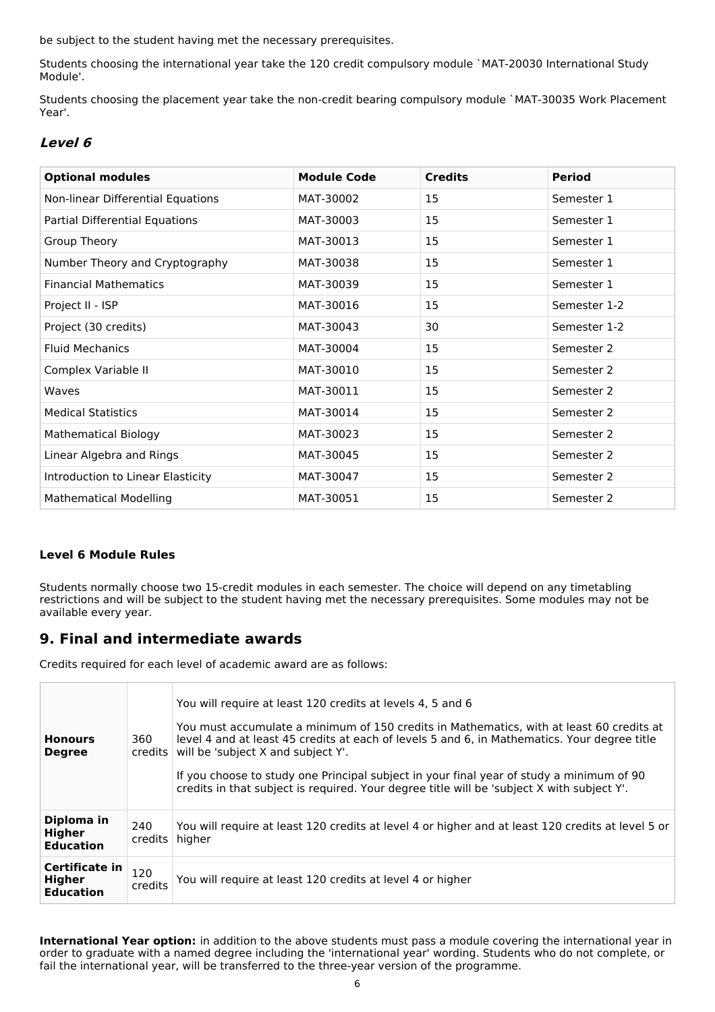be subject to the student having met the necessary prerequisites.

Students choosing the international year take the 120 credit compulsory module `MAT-20030 International Study Module'.

Students choosing the placement year take the non-credit bearing compulsory module `MAT-30035 Work Placement Year'.

## **Level 6**

| <b>Optional modules</b>           | <b>Module Code</b> | <b>Credits</b> | <b>Period</b> |
|-----------------------------------|--------------------|----------------|---------------|
| Non-linear Differential Equations | MAT-30002          | 15             | Semester 1    |
| Partial Differential Equations    | MAT-30003          | 15             | Semester 1    |
| Group Theory                      | MAT-30013          | 15             | Semester 1    |
| Number Theory and Cryptography    | MAT-30038          | 15             | Semester 1    |
| <b>Financial Mathematics</b>      | MAT-30039          | 15             | Semester 1    |
| Project II - ISP                  | MAT-30016          | 15             | Semester 1-2  |
| Project (30 credits)              | MAT-30043          | 30             | Semester 1-2  |
| <b>Fluid Mechanics</b>            | MAT-30004          | 15             | Semester 2    |
| Complex Variable II               | MAT-30010          | 15             | Semester 2    |
| Waves                             | MAT-30011          | 15             | Semester 2    |
| <b>Medical Statistics</b>         | MAT-30014          | 15             | Semester 2    |
| <b>Mathematical Biology</b>       | MAT-30023          | 15             | Semester 2    |
| Linear Algebra and Rings          | MAT-30045          | 15             | Semester 2    |
| Introduction to Linear Elasticity | MAT-30047          | 15             | Semester 2    |
| <b>Mathematical Modelling</b>     | MAT-30051          | 15             | Semester 2    |

### **Level 6 Module Rules**

Students normally choose two 15-credit modules in each semester. The choice will depend on any timetabling restrictions and will be subject to the student having met the necessary prerequisites. Some modules may not be available every year.

## **9. Final and intermediate awards**

Credits required for each level of academic award are as follows:

| <b>Honours</b><br><b>Degree</b>              | 360<br>credits l | You will require at least 120 credits at levels 4, 5 and 6<br>You must accumulate a minimum of 150 credits in Mathematics, with at least 60 credits at<br>level 4 and at least 45 credits at each of levels 5 and 6, in Mathematics. Your degree title<br>will be 'subject X and subject Y'.<br>If you choose to study one Principal subject in your final year of study a minimum of 90<br>credits in that subject is required. Your degree title will be 'subject X with subject Y'. |
|----------------------------------------------|------------------|----------------------------------------------------------------------------------------------------------------------------------------------------------------------------------------------------------------------------------------------------------------------------------------------------------------------------------------------------------------------------------------------------------------------------------------------------------------------------------------|
| Diploma in<br>Higher<br><b>Education</b>     | 240<br>credits   | You will require at least 120 credits at level 4 or higher and at least 120 credits at level 5 or<br>higher                                                                                                                                                                                                                                                                                                                                                                            |
| Certificate in<br>Higher<br><b>Education</b> | 120<br>credits   | You will require at least 120 credits at level 4 or higher                                                                                                                                                                                                                                                                                                                                                                                                                             |

**International Year option:** in addition to the above students must pass a module covering the international year in order to graduate with a named degree including the 'international year' wording. Students who do not complete, or fail the international year, will be transferred to the three-year version of the programme.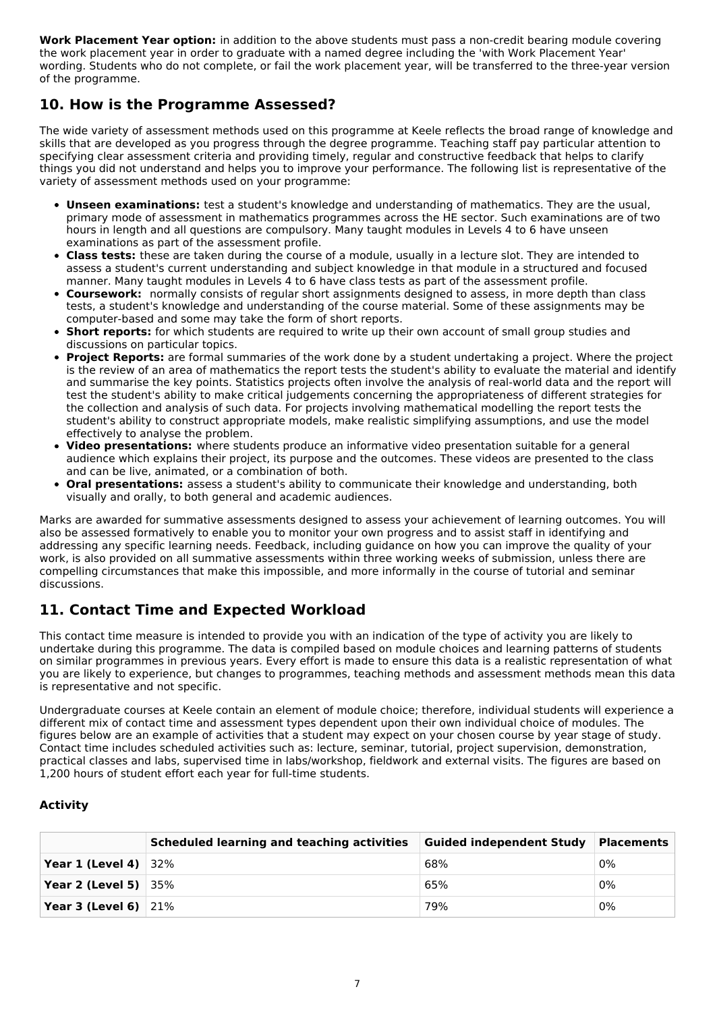**Work Placement Year option:** in addition to the above students must pass a non-credit bearing module covering the work placement year in order to graduate with a named degree including the 'with Work Placement Year' wording. Students who do not complete, or fail the work placement year, will be transferred to the three-year version of the programme.

# **10. How is the Programme Assessed?**

The wide variety of assessment methods used on this programme at Keele reflects the broad range of knowledge and skills that are developed as you progress through the degree programme. Teaching staff pay particular attention to specifying clear assessment criteria and providing timely, regular and constructive feedback that helps to clarify things you did not understand and helps you to improve your performance. The following list is representative of the variety of assessment methods used on your programme:

- **Unseen examinations:** test a student's knowledge and understanding of mathematics. They are the usual, primary mode of assessment in mathematics programmes across the HE sector. Such examinations are of two hours in length and all questions are compulsory. Many taught modules in Levels 4 to 6 have unseen examinations as part of the assessment profile.
- **Class tests:** these are taken during the course of a module, usually in a lecture slot. They are intended to assess a student's current understanding and subject knowledge in that module in a structured and focused manner. Many taught modules in Levels 4 to 6 have class tests as part of the assessment profile.
- **Coursework:** normally consists of regular short assignments designed to assess, in more depth than class tests, a student's knowledge and understanding of the course material. Some of these assignments may be computer-based and some may take the form of short reports.
- **Short reports:** for which students are required to write up their own account of small group studies and discussions on particular topics.
- **Project Reports:** are formal summaries of the work done by a student undertaking a project. Where the project is the review of an area of mathematics the report tests the student's ability to evaluate the material and identify and summarise the key points. Statistics projects often involve the analysis of real-world data and the report will test the student's ability to make critical judgements concerning the appropriateness of different strategies for the collection and analysis of such data. For projects involving mathematical modelling the report tests the student's ability to construct appropriate models, make realistic simplifying assumptions, and use the model effectively to analyse the problem.
- **Video presentations:** where students produce an informative video presentation suitable for a general audience which explains their project, its purpose and the outcomes. These videos are presented to the class and can be live, animated, or a combination of both.
- **Oral presentations:** assess a student's ability to communicate their knowledge and understanding, both visually and orally, to both general and academic audiences.

Marks are awarded for summative assessments designed to assess your achievement of learning outcomes. You will also be assessed formatively to enable you to monitor your own progress and to assist staff in identifying and addressing any specific learning needs. Feedback, including guidance on how you can improve the quality of your work, is also provided on all summative assessments within three working weeks of submission, unless there are compelling circumstances that make this impossible, and more informally in the course of tutorial and seminar discussions.

# **11. Contact Time and Expected Workload**

This contact time measure is intended to provide you with an indication of the type of activity you are likely to undertake during this programme. The data is compiled based on module choices and learning patterns of students on similar programmes in previous years. Every effort is made to ensure this data is a realistic representation of what you are likely to experience, but changes to programmes, teaching methods and assessment methods mean this data is representative and not specific.

Undergraduate courses at Keele contain an element of module choice; therefore, individual students will experience a different mix of contact time and assessment types dependent upon their own individual choice of modules. The figures below are an example of activities that a student may expect on your chosen course by year stage of study. Contact time includes scheduled activities such as: lecture, seminar, tutorial, project supervision, demonstration, practical classes and labs, supervised time in labs/workshop, fieldwork and external visits. The figures are based on 1,200 hours of student effort each year for full-time students.

### **Activity**

|                                 | Scheduled learning and teaching activities | Guided independent Study   Placements |    |
|---------------------------------|--------------------------------------------|---------------------------------------|----|
| Year 1 (Level 4) $ 32\%$        |                                            | 68%                                   | 0% |
| Year 2 (Level 5) $ 35\%$        |                                            | 65%                                   | 0% |
| <b>Year 3 (Level 6)</b> $ 21\%$ |                                            | 79%                                   | 0% |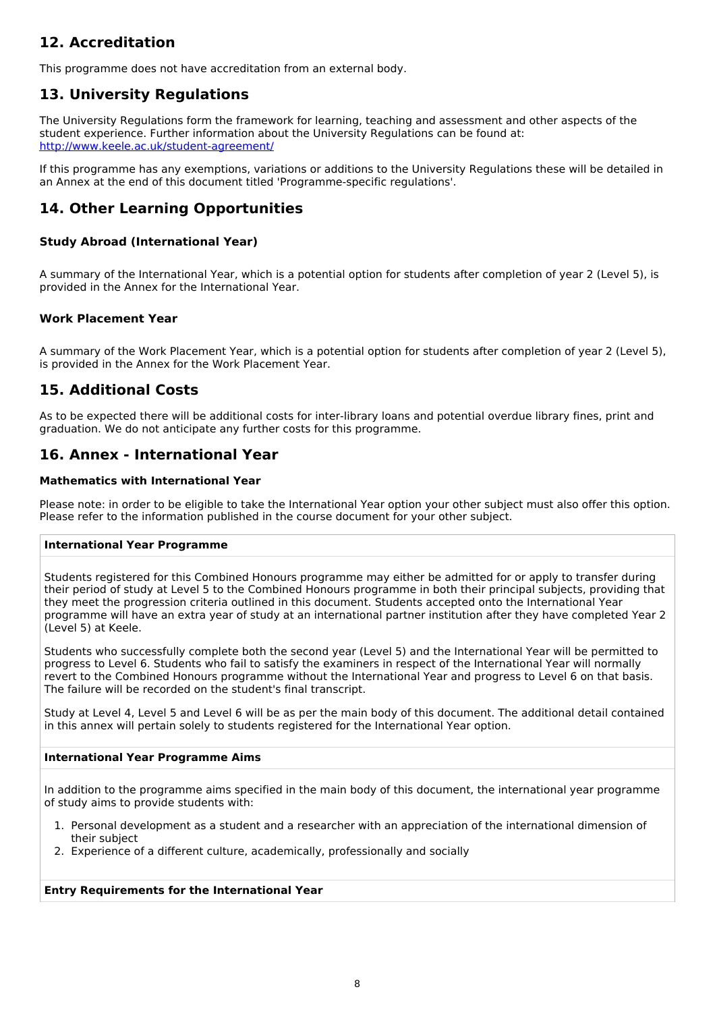# **12. Accreditation**

This programme does not have accreditation from an external body.

# **13. University Regulations**

The University Regulations form the framework for learning, teaching and assessment and other aspects of the student experience. Further information about the University Regulations can be found at: <http://www.keele.ac.uk/student-agreement/>

If this programme has any exemptions, variations or additions to the University Regulations these will be detailed in an Annex at the end of this document titled 'Programme-specific regulations'.

## **14. Other Learning Opportunities**

### **Study Abroad (International Year)**

A summary of the International Year, which is a potential option for students after completion of year 2 (Level 5), is provided in the Annex for the International Year.

### **Work Placement Year**

A summary of the Work Placement Year, which is a potential option for students after completion of year 2 (Level 5), is provided in the Annex for the Work Placement Year.

# **15. Additional Costs**

As to be expected there will be additional costs for inter-library loans and potential overdue library fines, print and graduation. We do not anticipate any further costs for this programme.

## **16. Annex - International Year**

#### **Mathematics with International Year**

Please note: in order to be eligible to take the International Year option your other subject must also offer this option. Please refer to the information published in the course document for your other subject.

#### **International Year Programme**

Students registered for this Combined Honours programme may either be admitted for or apply to transfer during their period of study at Level 5 to the Combined Honours programme in both their principal subjects, providing that they meet the progression criteria outlined in this document. Students accepted onto the International Year programme will have an extra year of study at an international partner institution after they have completed Year 2 (Level 5) at Keele.

Students who successfully complete both the second year (Level 5) and the International Year will be permitted to progress to Level 6. Students who fail to satisfy the examiners in respect of the International Year will normally revert to the Combined Honours programme without the International Year and progress to Level 6 on that basis. The failure will be recorded on the student's final transcript.

Study at Level 4, Level 5 and Level 6 will be as per the main body of this document. The additional detail contained in this annex will pertain solely to students registered for the International Year option.

#### **International Year Programme Aims**

In addition to the programme aims specified in the main body of this document, the international year programme of study aims to provide students with:

- 1. Personal development as a student and a researcher with an appreciation of the international dimension of their subject
- 2. Experience of a different culture, academically, professionally and socially

### **Entry Requirements for the International Year**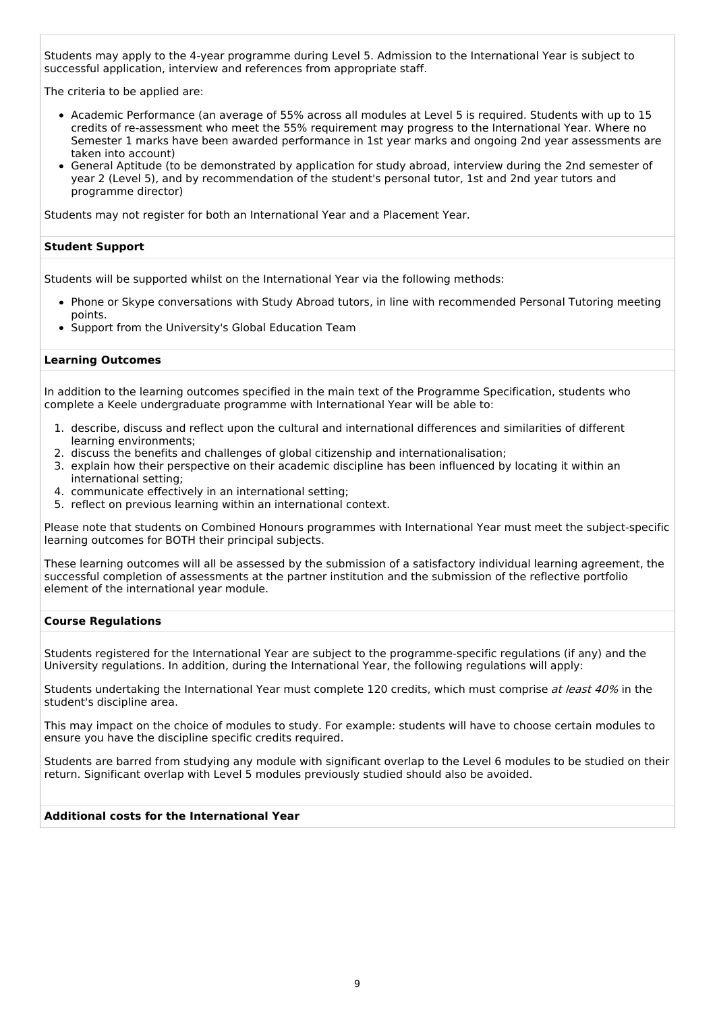Students may apply to the 4-year programme during Level 5. Admission to the International Year is subject to successful application, interview and references from appropriate staff.

The criteria to be applied are:

- Academic Performance (an average of 55% across all modules at Level 5 is required. Students with up to 15 credits of re-assessment who meet the 55% requirement may progress to the International Year. Where no Semester 1 marks have been awarded performance in 1st year marks and ongoing 2nd year assessments are taken into account)
- General Aptitude (to be demonstrated by application for study abroad, interview during the 2nd semester of year 2 (Level 5), and by recommendation of the student's personal tutor, 1st and 2nd year tutors and programme director)

Students may not register for both an International Year and a Placement Year.

#### **Student Support**

Students will be supported whilst on the International Year via the following methods:

- Phone or Skype conversations with Study Abroad tutors, in line with recommended Personal Tutoring meeting points.
- Support from the University's Global Education Team

#### **Learning Outcomes**

In addition to the learning outcomes specified in the main text of the Programme Specification, students who complete a Keele undergraduate programme with International Year will be able to:

- 1. describe, discuss and reflect upon the cultural and international differences and similarities of different learning environments;
- 2. discuss the benefits and challenges of global citizenship and internationalisation;
- 3. explain how their perspective on their academic discipline has been influenced by locating it within an international setting;
- 4. communicate effectively in an international setting;
- 5. reflect on previous learning within an international context.

Please note that students on Combined Honours programmes with International Year must meet the subject-specific learning outcomes for BOTH their principal subjects.

These learning outcomes will all be assessed by the submission of a satisfactory individual learning agreement, the successful completion of assessments at the partner institution and the submission of the reflective portfolio element of the international year module.

#### **Course Regulations**

Students registered for the International Year are subject to the programme-specific regulations (if any) and the University regulations. In addition, during the International Year, the following regulations will apply:

Students undertaking the International Year must complete 120 credits, which must comprise at least 40% in the student's discipline area.

This may impact on the choice of modules to study. For example: students will have to choose certain modules to ensure you have the discipline specific credits required.

Students are barred from studying any module with significant overlap to the Level 6 modules to be studied on their return. Significant overlap with Level 5 modules previously studied should also be avoided.

#### **Additional costs for the International Year**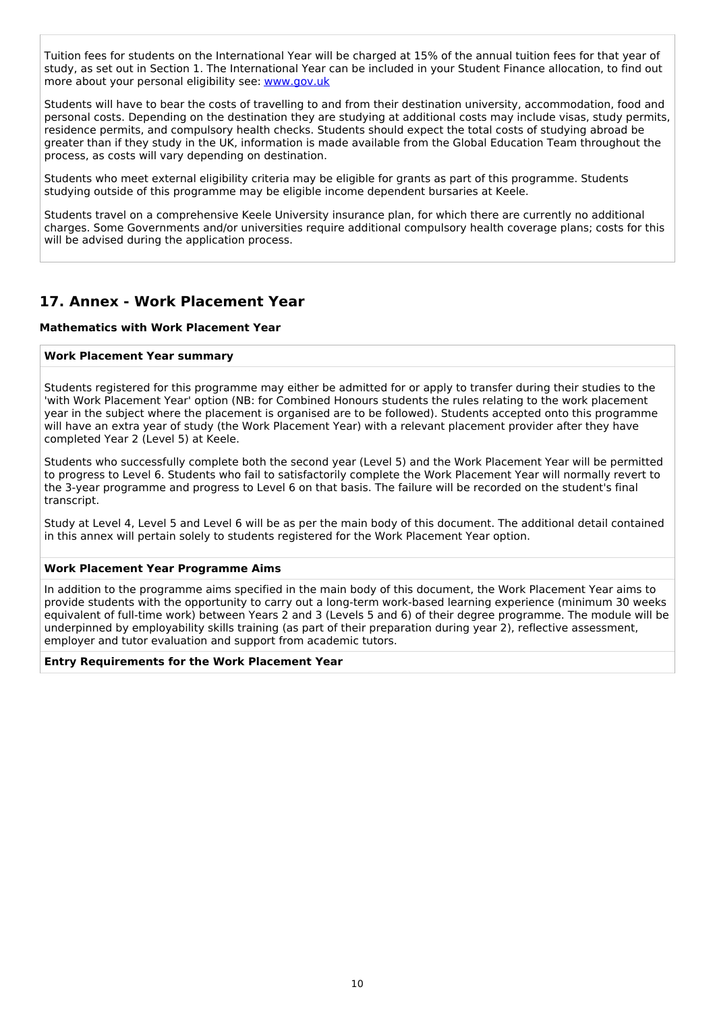Tuition fees for students on the International Year will be charged at 15% of the annual tuition fees for that year of study, as set out in Section 1. The International Year can be included in your Student Finance allocation, to find out more about your personal eligibility see: [www.gov.uk](http://www.gov.uk/)

Students will have to bear the costs of travelling to and from their destination university, accommodation, food and personal costs. Depending on the destination they are studying at additional costs may include visas, study permits, residence permits, and compulsory health checks. Students should expect the total costs of studying abroad be greater than if they study in the UK, information is made available from the Global Education Team throughout the process, as costs will vary depending on destination.

Students who meet external eligibility criteria may be eligible for grants as part of this programme. Students studying outside of this programme may be eligible income dependent bursaries at Keele.

Students travel on a comprehensive Keele University insurance plan, for which there are currently no additional charges. Some Governments and/or universities require additional compulsory health coverage plans; costs for this will be advised during the application process.

## **17. Annex - Work Placement Year**

#### **Mathematics with Work Placement Year**

#### **Work Placement Year summary**

Students registered for this programme may either be admitted for or apply to transfer during their studies to the 'with Work Placement Year' option (NB: for Combined Honours students the rules relating to the work placement year in the subject where the placement is organised are to be followed). Students accepted onto this programme will have an extra year of study (the Work Placement Year) with a relevant placement provider after they have completed Year 2 (Level 5) at Keele.

Students who successfully complete both the second year (Level 5) and the Work Placement Year will be permitted to progress to Level 6. Students who fail to satisfactorily complete the Work Placement Year will normally revert to the 3-year programme and progress to Level 6 on that basis. The failure will be recorded on the student's final transcript.

Study at Level 4, Level 5 and Level 6 will be as per the main body of this document. The additional detail contained in this annex will pertain solely to students registered for the Work Placement Year option.

#### **Work Placement Year Programme Aims**

In addition to the programme aims specified in the main body of this document, the Work Placement Year aims to provide students with the opportunity to carry out a long-term work-based learning experience (minimum 30 weeks equivalent of full-time work) between Years 2 and 3 (Levels 5 and 6) of their degree programme. The module will be underpinned by employability skills training (as part of their preparation during year 2), reflective assessment, employer and tutor evaluation and support from academic tutors.

#### **Entry Requirements for the Work Placement Year**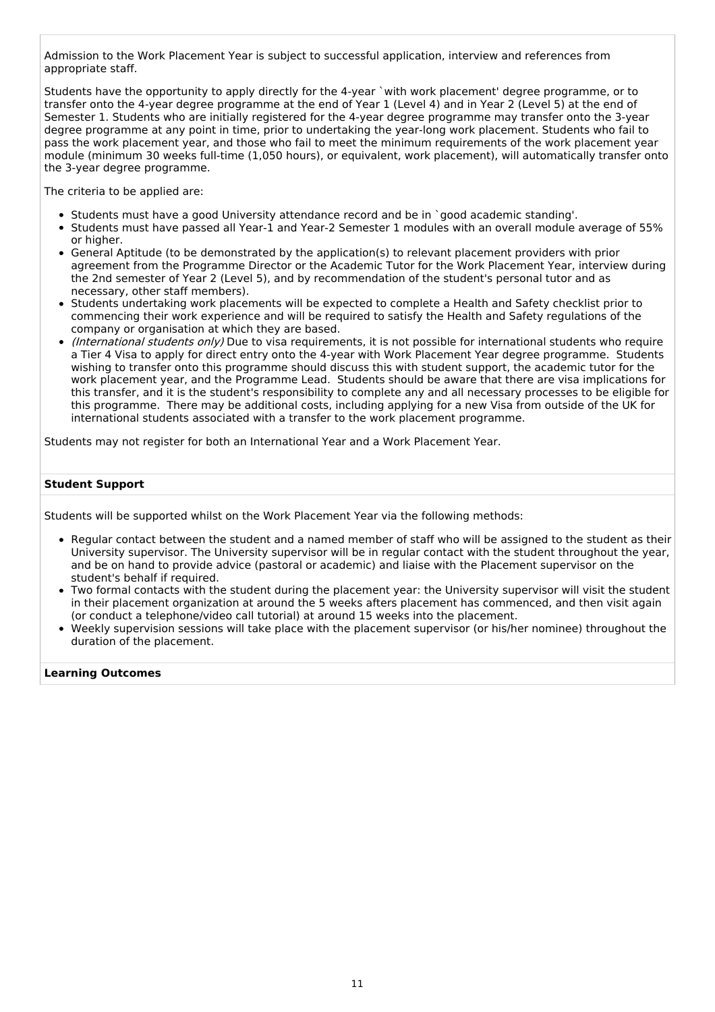Admission to the Work Placement Year is subject to successful application, interview and references from appropriate staff.

Students have the opportunity to apply directly for the 4-year `with work placement' degree programme, or to transfer onto the 4-year degree programme at the end of Year 1 (Level 4) and in Year 2 (Level 5) at the end of Semester 1. Students who are initially registered for the 4-year degree programme may transfer onto the 3-year degree programme at any point in time, prior to undertaking the year-long work placement. Students who fail to pass the work placement year, and those who fail to meet the minimum requirements of the work placement year module (minimum 30 weeks full-time (1,050 hours), or equivalent, work placement), will automatically transfer onto the 3-year degree programme.

The criteria to be applied are:

- Students must have a good University attendance record and be in `good academic standing'.
- Students must have passed all Year-1 and Year-2 Semester 1 modules with an overall module average of 55% or higher.
- General Aptitude (to be demonstrated by the application(s) to relevant placement providers with prior agreement from the Programme Director or the Academic Tutor for the Work Placement Year, interview during the 2nd semester of Year 2 (Level 5), and by recommendation of the student's personal tutor and as necessary, other staff members).
- Students undertaking work placements will be expected to complete a Health and Safety checklist prior to commencing their work experience and will be required to satisfy the Health and Safety regulations of the company or organisation at which they are based.
- (International students only) Due to visa requirements, it is not possible for international students who require a Tier 4 Visa to apply for direct entry onto the 4-year with Work Placement Year degree programme. Students wishing to transfer onto this programme should discuss this with student support, the academic tutor for the work placement year, and the Programme Lead. Students should be aware that there are visa implications for this transfer, and it is the student's responsibility to complete any and all necessary processes to be eligible for this programme. There may be additional costs, including applying for a new Visa from outside of the UK for international students associated with a transfer to the work placement programme.

Students may not register for both an International Year and a Work Placement Year.

#### **Student Support**

Students will be supported whilst on the Work Placement Year via the following methods:

- Regular contact between the student and a named member of staff who will be assigned to the student as their University supervisor. The University supervisor will be in regular contact with the student throughout the year, and be on hand to provide advice (pastoral or academic) and liaise with the Placement supervisor on the student's behalf if required.
- Two formal contacts with the student during the placement year: the University supervisor will visit the student in their placement organization at around the 5 weeks afters placement has commenced, and then visit again (or conduct a telephone/video call tutorial) at around 15 weeks into the placement.
- Weekly supervision sessions will take place with the placement supervisor (or his/her nominee) throughout the duration of the placement.

#### **Learning Outcomes**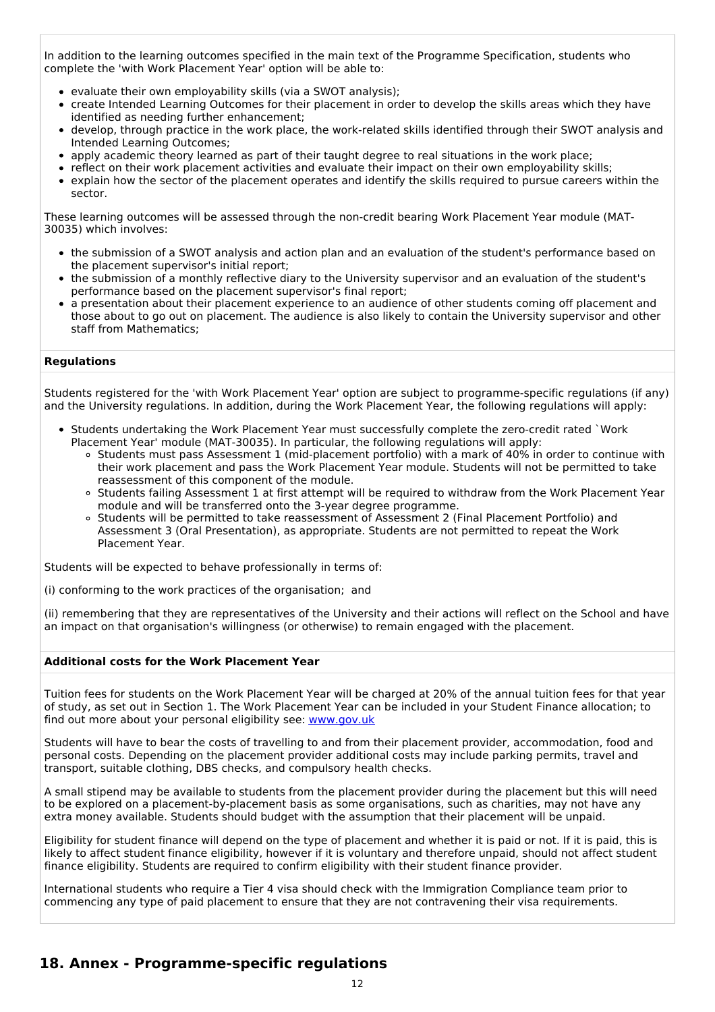In addition to the learning outcomes specified in the main text of the Programme Specification, students who complete the 'with Work Placement Year' option will be able to:

- evaluate their own employability skills (via a SWOT analysis);
- create Intended Learning Outcomes for their placement in order to develop the skills areas which they have identified as needing further enhancement;
- develop, through practice in the work place, the work-related skills identified through their SWOT analysis and Intended Learning Outcomes;
- apply academic theory learned as part of their taught degree to real situations in the work place;
- reflect on their work placement activities and evaluate their impact on their own employability skills;  $\bullet$
- explain how the sector of the placement operates and identify the skills required to pursue careers within the sector.

These learning outcomes will be assessed through the non-credit bearing Work Placement Year module (MAT-30035) which involves:

- the submission of a SWOT analysis and action plan and an evaluation of the student's performance based on the placement supervisor's initial report;
- the submission of a monthly reflective diary to the University supervisor and an evaluation of the student's performance based on the placement supervisor's final report;
- a presentation about their placement experience to an audience of other students coming off placement and those about to go out on placement. The audience is also likely to contain the University supervisor and other staff from Mathematics;

#### **Regulations**

Students registered for the 'with Work Placement Year' option are subject to programme-specific regulations (if any) and the University regulations. In addition, during the Work Placement Year, the following regulations will apply:

- Students undertaking the Work Placement Year must successfully complete the zero-credit rated `Work Placement Year' module (MAT-30035). In particular, the following regulations will apply:
	- Students must pass Assessment 1 (mid-placement portfolio) with a mark of 40% in order to continue with their work placement and pass the Work Placement Year module. Students will not be permitted to take reassessment of this component of the module.
	- Students failing Assessment 1 at first attempt will be required to withdraw from the Work Placement Year module and will be transferred onto the 3-year degree programme.
	- Students will be permitted to take reassessment of Assessment 2 (Final Placement Portfolio) and Assessment 3 (Oral Presentation), as appropriate. Students are not permitted to repeat the Work Placement Year.

Students will be expected to behave professionally in terms of:

(i) conforming to the work practices of the organisation; and

(ii) remembering that they are representatives of the University and their actions will reflect on the School and have an impact on that organisation's willingness (or otherwise) to remain engaged with the placement.

#### **Additional costs for the Work Placement Year**

Tuition fees for students on the Work Placement Year will be charged at 20% of the annual tuition fees for that year of study, as set out in Section 1. The Work Placement Year can be included in your Student Finance allocation; to find out more about your personal eligibility see: [www.gov.uk](http://www.gov.uk/)

Students will have to bear the costs of travelling to and from their placement provider, accommodation, food and personal costs. Depending on the placement provider additional costs may include parking permits, travel and transport, suitable clothing, DBS checks, and compulsory health checks.

A small stipend may be available to students from the placement provider during the placement but this will need to be explored on a placement-by-placement basis as some organisations, such as charities, may not have any extra money available. Students should budget with the assumption that their placement will be unpaid.

Eligibility for student finance will depend on the type of placement and whether it is paid or not. If it is paid, this is likely to affect student finance eligibility, however if it is voluntary and therefore unpaid, should not affect student finance eligibility. Students are required to confirm eligibility with their student finance provider.

International students who require a Tier 4 visa should check with the Immigration Compliance team prior to commencing any type of paid placement to ensure that they are not contravening their visa requirements.

## **18. Annex - Programme-specific regulations**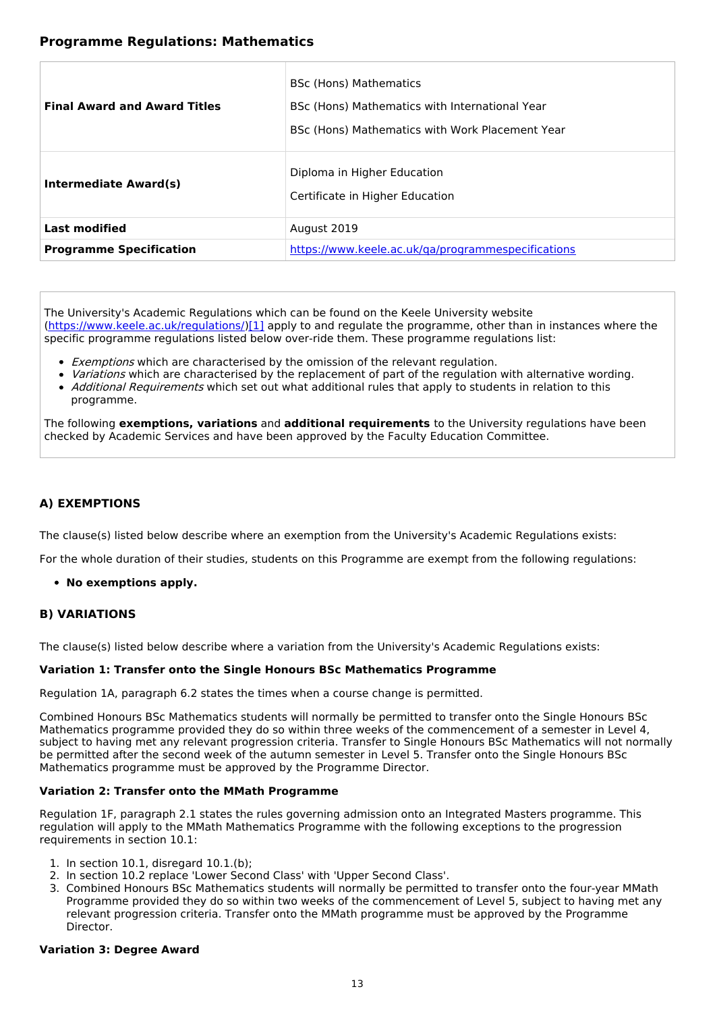## **Programme Regulations: Mathematics**

| <b>Final Award and Award Titles</b> | <b>BSc (Hons) Mathematics</b><br>BSc (Hons) Mathematics with International Year<br>BSc (Hons) Mathematics with Work Placement Year |
|-------------------------------------|------------------------------------------------------------------------------------------------------------------------------------|
| Intermediate Award(s)               | Diploma in Higher Education<br>Certificate in Higher Education                                                                     |
| <b>Last modified</b>                | August 2019                                                                                                                        |
| <b>Programme Specification</b>      | https://www.keele.ac.uk/ga/programmespecifications                                                                                 |

The University's Academic Regulations which can be found on the Keele University website [\(https://www.keele.ac.uk/regulations/](https://www.keele.ac.uk/regulations/)[\)\[1\]](https://scims-api.keele.ac.uk/#_ftn1) apply to and regulate the programme, other than in instances where the specific programme regulations listed below over-ride them. These programme regulations list:

- **Exemptions which are characterised by the omission of the relevant regulation.**
- Variations which are characterised by the replacement of part of the regulation with alternative wording.
- Additional Requirements which set out what additional rules that apply to students in relation to this programme.

The following **exemptions, variations** and **additional requirements** to the University regulations have been checked by Academic Services and have been approved by the Faculty Education Committee.

### **A) EXEMPTIONS**

The clause(s) listed below describe where an exemption from the University's Academic Regulations exists:

For the whole duration of their studies, students on this Programme are exempt from the following regulations:

#### **No exemptions apply.**

#### **B) VARIATIONS**

The clause(s) listed below describe where a variation from the University's Academic Regulations exists:

#### **Variation 1: Transfer onto the Single Honours BSc Mathematics Programme**

Regulation 1A, paragraph 6.2 states the times when a course change is permitted.

Combined Honours BSc Mathematics students will normally be permitted to transfer onto the Single Honours BSc Mathematics programme provided they do so within three weeks of the commencement of a semester in Level 4, subject to having met any relevant progression criteria. Transfer to Single Honours BSc Mathematics will not normally be permitted after the second week of the autumn semester in Level 5. Transfer onto the Single Honours BSc Mathematics programme must be approved by the Programme Director.

#### **Variation 2: Transfer onto the MMath Programme**

Regulation 1F, paragraph 2.1 states the rules governing admission onto an Integrated Masters programme. This regulation will apply to the MMath Mathematics Programme with the following exceptions to the progression requirements in section 10.1:

- 1. In section 10.1, disregard 10.1.(b);
- 2. In section 10.2 replace 'Lower Second Class' with 'Upper Second Class'.
- 3. Combined Honours BSc Mathematics students will normally be permitted to transfer onto the four-year MMath Programme provided they do so within two weeks of the commencement of Level 5, subject to having met any relevant progression criteria. Transfer onto the MMath programme must be approved by the Programme Director.

#### **Variation 3: Degree Award**